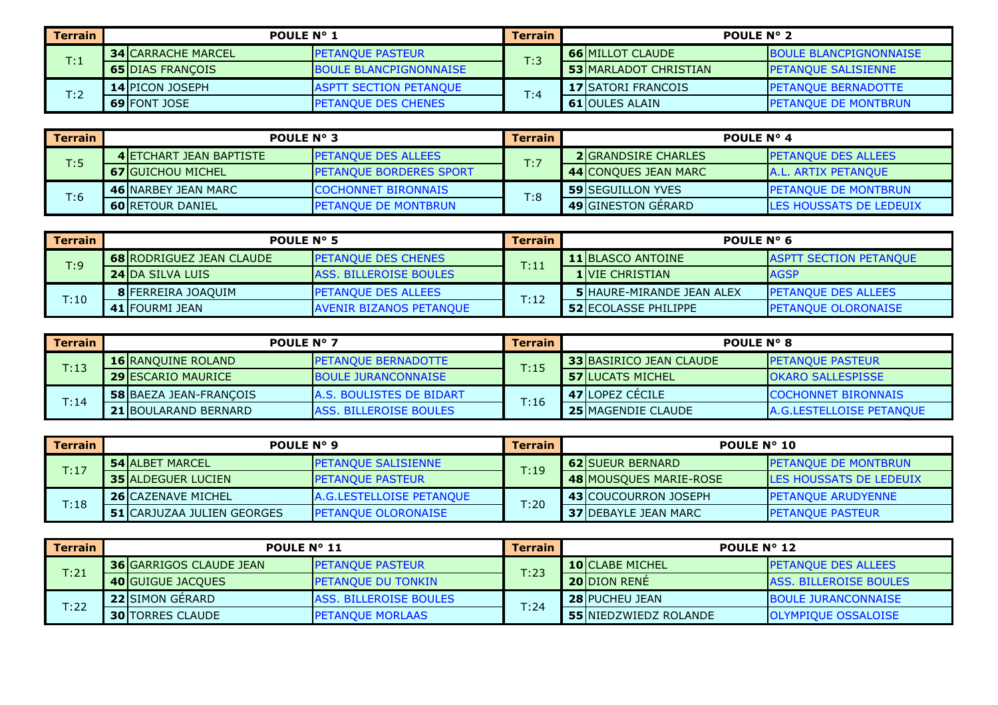| l Terrain                      | <b>POULE N° 1</b>         |                                | <b>Terrain</b> | <b>POULE N° 2</b>             |                               |  |  |  |
|--------------------------------|---------------------------|--------------------------------|----------------|-------------------------------|-------------------------------|--|--|--|
| $\mathsf{T} \colon \mathsf{1}$ | <b>34 CARRACHE MARCEL</b> | <b>PETANOUE PASTEUR</b>        | T:3            | <b>66 MILLOT CLAUDE</b>       | <b>BOULE BLANCPIGNONNAISE</b> |  |  |  |
|                                | <b>65 DIAS FRANÇOIS</b>   | <b>IBOULE BLANCPIGNONNAISE</b> |                | <b>53 IMARLADOT CHRISTIAN</b> | <b>IPETANOUE SALISIENNE</b>   |  |  |  |
| T:2                            | <b>14 IPICON JOSEPH</b>   | <b>ASPTT SECTION PETANOUE</b>  |                | <b>17 SATORI FRANCOIS</b>     | <b>IPETANOUE BERNADOTTE</b>   |  |  |  |
|                                | <b>69 FONT JOSE</b>       | <b>IPETANOUE DES CHENES</b>    | T:4            | <b>61 IOULES ALAIN</b>        | <b>IPETANOUE DE MONTBRUN</b>  |  |  |  |

| <b>Terrain</b> |                                 | POULE $N^{\circ}$ 3             | <b>Terrain</b> | <b>POULE N° 4</b>          |                                 |  |
|----------------|---------------------------------|---------------------------------|----------------|----------------------------|---------------------------------|--|
| T:5            | <b>4 IETCHART JEAN BAPTISTE</b> | <b>PETANQUE DES ALLEES</b>      | T:7            | <b>2IGRANDSIRE CHARLES</b> | <b>IPETANOUE DES ALLEES</b>     |  |
|                | <b>67 IGUICHOU MICHEL</b>       | <b>IPETANOUE BORDERES SPORT</b> |                | 44 CONQUES JEAN MARC       | <b>JA.L. ARTIX PETANOUE</b>     |  |
|                | <b>46 INARBEY JEAN MARC</b>     | <b>COCHONNET BIRONNAIS</b>      | T:8            | <b>59 ISEGUILLON YVES</b>  | <b>IPETANOUE DE MONTBRUN</b>    |  |
| T:6            | <b>60 RETOUR DANIEL</b>         | <b>IPETANOUE DE MONTBRUN</b>    |                | <b>49 GINESTON GERARD</b>  | <b>ILES HOUSSATS DE LEDEUIX</b> |  |

| Terrain | <b>POULE N° 5</b>               |                                | <b>Terrain</b> | POULE $N^{\circ}$ 6               |                               |  |
|---------|---------------------------------|--------------------------------|----------------|-----------------------------------|-------------------------------|--|
| T:9     | <b>68 RODRIGUEZ JEAN CLAUDE</b> | <b>IPETANOUE DES CHENES</b>    | T:11           | <b>11 BLASCO ANTOINE</b>          | <b>ASPTT SECTION PETANQUE</b> |  |
|         | <b>24 IDA SILVA LUIS</b>        | <b>ASS. BILLEROISE BOULES</b>  |                | <b>1 VIE CHRISTIAN</b>            | <b>AGSP</b>                   |  |
|         | 8 FERREIRA JOAQUIM              | <b>IPETANOUE DES ALLEES</b>    | T:12           | <b>5 IHAURE-MIRANDE JEAN ALEX</b> | <b>IPETANOUE DES ALLEES</b>   |  |
| T:10    | 41 FOURMI JEAN                  | <b>AVENIR BIZANOS PETANOUE</b> |                | <b>52 ECOLASSE PHILIPPE</b>       | <b>IPETANOUE OLORONAISE</b>   |  |

| Terrain | <b>POULE N° 7</b>             |                                 | <b>Terrain</b> | <b>POULE N° 8</b>              |                                 |  |  |
|---------|-------------------------------|---------------------------------|----------------|--------------------------------|---------------------------------|--|--|
| T:13    | <b>16 RANQUINE ROLAND</b>     | <b>IPETANOUE BERNADOTTE</b>     | T:15           | <b>33 BASIRICO JEAN CLAUDE</b> | <b>IPETANOUE PASTEUR</b>        |  |  |
|         | <b>29 IESCARIO MAURICE</b>    | <b>BOULE JURANCONNAISE</b>      |                | <b>57 ILUCATS MICHEL</b>       | <b>OKARO SALLESPISSE</b>        |  |  |
| T:14    | <b>58 BAEZA JEAN-FRANCOIS</b> | <b>A.S. BOULISTES DE BIDART</b> | T:16           | 47 LOPEZ CECILE                | <b>COCHONNET BIRONNAIS</b>      |  |  |
|         | <b>21 BOULARAND BERNARD</b>   | <b>ASS. BILLEROISE BOULES</b>   |                | <b>25 MAGENDIE CLAUDE</b>      | <b>A.G.LESTELLOISE PETANOUE</b> |  |  |

| Terrain | POULE N° 9                         |                             | <b>Terrain</b> | <b>POULE N° 10</b>           |                                 |  |
|---------|------------------------------------|-----------------------------|----------------|------------------------------|---------------------------------|--|
| T:17    | <b>54 JALBET MARCEL</b>            | <b>IPETANOUE SALISIENNE</b> | T:19           | <b>62 ISUEUR BERNARD</b>     | <b>IPETANOUE DE MONTBRUN</b>    |  |
|         | <b>35 ALDEGUER LUCIEN</b>          | <b>PETANOUE PASTEUR</b>     |                | 48 MOUSQUES MARIE-ROSE       | <b>ILES HOUSSATS DE LEDEUIX</b> |  |
|         | <b>26 CAZENAVE MICHEL</b>          | A.G.LESTELLOISE PETANQUE    |                | 43 COUCOURRON JOSEPH         | <b>IPETANOUE ARUDYENNE</b>      |  |
| T:18    | <b>51 ICARJUZAA JULIEN GEORGES</b> | <b>PETANQUE OLORONAISE</b>  | T:20           | <b>37 IDEBAYLE JEAN MARC</b> | <b>PETANOUE PASTEUR</b>         |  |

| Terrain | <b>POULE N° 11</b>              |                               | Terrain | <b>POULE N° 12</b>           |                               |  |
|---------|---------------------------------|-------------------------------|---------|------------------------------|-------------------------------|--|
| T:21    | <b>36 IGARRIGOS CLAUDE JEAN</b> | <b>IPETANOUE PASTEUR</b>      | T:23    | <b>10ICLABE MICHEL</b>       | <b>IPETANOUE DES ALLEES</b>   |  |
|         | <b>40 GUIGUE JACOUES</b>        | <b>PETANQUE DU TONKIN</b>     |         | <b>20 DION RENE</b>          | <b>ASS. BILLEROISE BOULES</b> |  |
|         | <b>22 ISIMON GERARD</b>         | <b>ASS. BILLEROISE BOULES</b> |         | <b>28 PUCHEU JEAN</b>        | <b>BOULE JURANCONNAISE</b>    |  |
| T:22    | <b>30 ITORRES CLAUDE</b>        | <b>PETANQUE MORLAAS</b>       | T:24    | <b>55 NIEDZWIEDZ ROLANDE</b> | <b>OLYMPIOUE OSSALOISE</b>    |  |